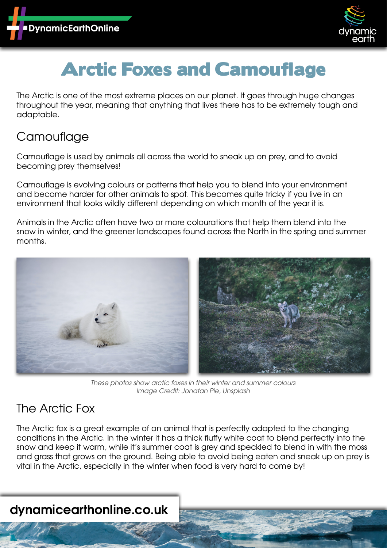



# Arctic Foxes and Camouflage

The Arctic is one of the most extreme places on our planet. It goes through huge changes throughout the year, meaning that anything that lives there has to be extremely tough and adaptable.

### **Camouflage**

Camouflage is used by animals all across the world to sneak up on prey, and to avoid becoming prey themselves!

Camouflage is evolving colours or patterns that help you to blend into your environment and become harder for other animals to spot. This becomes quite tricky if you live in an environment that looks wildly different depending on which month of the year it is.

Animals in the Arctic often have two or more colourations that help them blend into the snow in winter, and the greener landscapes found across the North in the spring and summer months.



*These photos show arctic foxes in their winter and summer colours Image Credit: Jonatan Pie, Unsplash*

### The Arctic Fox

The Arctic fox is a great example of an animal that is perfectly adapted to the changing conditions in the Arctic. In the winter it has a thick fluffy white coat to blend perfectly into the snow and keep it warm, while it's summer coat is grey and speckled to blend in with the moss and grass that grows on the ground. Being able to avoid being eaten and sneak up on prey is vital in the Arctic, especially in the winter when food is very hard to come by!

## **dynamicearthonline.co.uk**